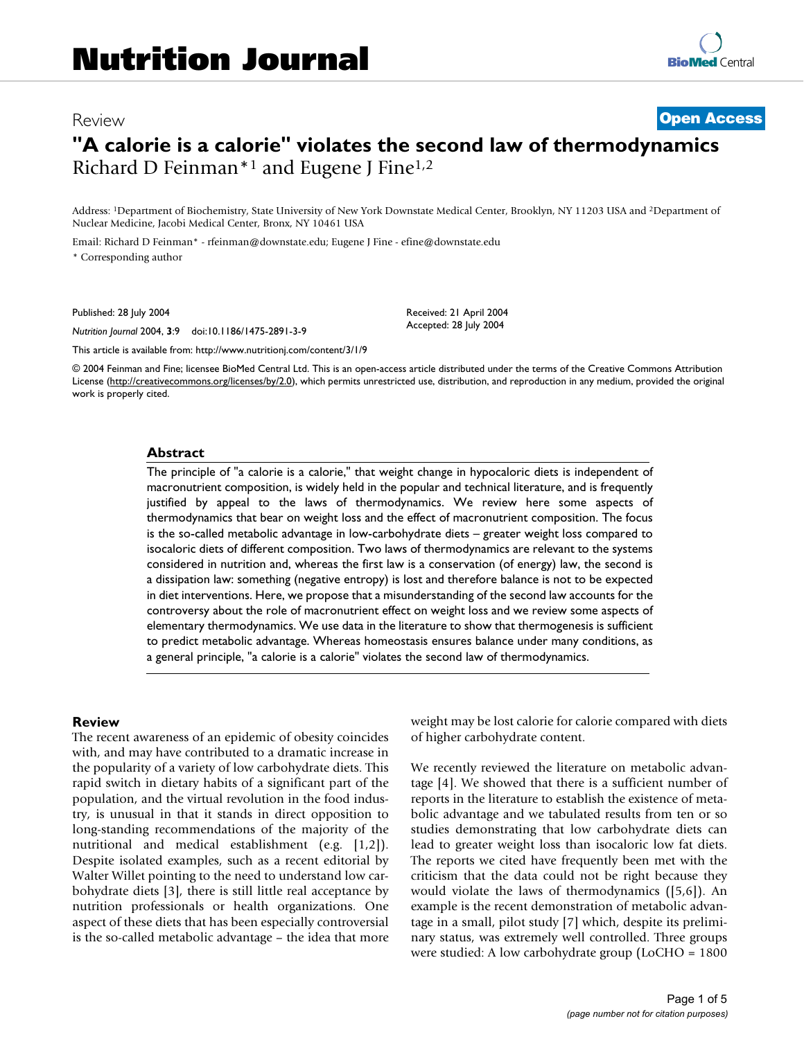# Review **[Open Access](http://www.biomedcentral.com/info/about/charter/) "A calorie is a calorie" violates the second law of thermodynamics** Richard D Feinman\*1 and Eugene J Fine1,2

Address: 1Department of Biochemistry, State University of New York Downstate Medical Center, Brooklyn, NY 11203 USA and 2Department of Nuclear Medicine, Jacobi Medical Center, Bronx, NY 10461 USA

Email: Richard D Feinman\* - rfeinman@downstate.edu; Eugene J Fine - efine@downstate.edu \* Corresponding author

Published: 28 July 2004

*Nutrition Journal* 2004, **3**:9 doi:10.1186/1475-2891-3-9

[This article is available from: http://www.nutritionj.com/content/3/1/9](http://www.nutritionj.com/content/3/1/9)

© 2004 Feinman and Fine; licensee BioMed Central Ltd. This is an open-access article distributed under the terms of the Creative Commons Attribution License (<http://creativecommons.org/licenses/by/2.0>), which permits unrestricted use, distribution, and reproduction in any medium, provided the original work is properly cited.

Received: 21 April 2004 Accepted: 28 July 2004

#### **Abstract**

The principle of "a calorie is a calorie," that weight change in hypocaloric diets is independent of macronutrient composition, is widely held in the popular and technical literature, and is frequently justified by appeal to the laws of thermodynamics. We review here some aspects of thermodynamics that bear on weight loss and the effect of macronutrient composition. The focus is the so-called metabolic advantage in low-carbohydrate diets – greater weight loss compared to isocaloric diets of different composition. Two laws of thermodynamics are relevant to the systems considered in nutrition and, whereas the first law is a conservation (of energy) law, the second is a dissipation law: something (negative entropy) is lost and therefore balance is not to be expected in diet interventions. Here, we propose that a misunderstanding of the second law accounts for the controversy about the role of macronutrient effect on weight loss and we review some aspects of elementary thermodynamics. We use data in the literature to show that thermogenesis is sufficient to predict metabolic advantage. Whereas homeostasis ensures balance under many conditions, as a general principle, "a calorie is a calorie" violates the second law of thermodynamics.

#### **Review**

The recent awareness of an epidemic of obesity coincides with, and may have contributed to a dramatic increase in the popularity of a variety of low carbohydrate diets. This rapid switch in dietary habits of a significant part of the population, and the virtual revolution in the food industry, is unusual in that it stands in direct opposition to long-standing recommendations of the majority of the nutritional and medical establishment (e.g. [1,[2](#page-3-0)]). Despite isolated examples, such as a recent editorial by Walter Willet pointing to the need to understand low carbohydrate diets [3], there is still little real acceptance by nutrition professionals or health organizations. One aspect of these diets that has been especially controversial is the so-called metabolic advantage – the idea that more weight may be lost calorie for calorie compared with diets of higher carbohydrate content.

We recently reviewed the literature on metabolic advantage [4]. We showed that there is a sufficient number of reports in the literature to establish the existence of metabolic advantage and we tabulated results from ten or so studies demonstrating that low carbohydrate diets can lead to greater weight loss than isocaloric low fat diets. The reports we cited have frequently been met with the criticism that the data could not be right because they would violate the laws of thermodynamics ([5,6]). An example is the recent demonstration of metabolic advantage in a small, pilot study [7] which, despite its preliminary status, was extremely well controlled. Three groups were studied: A low carbohydrate group (LoCHO = 1800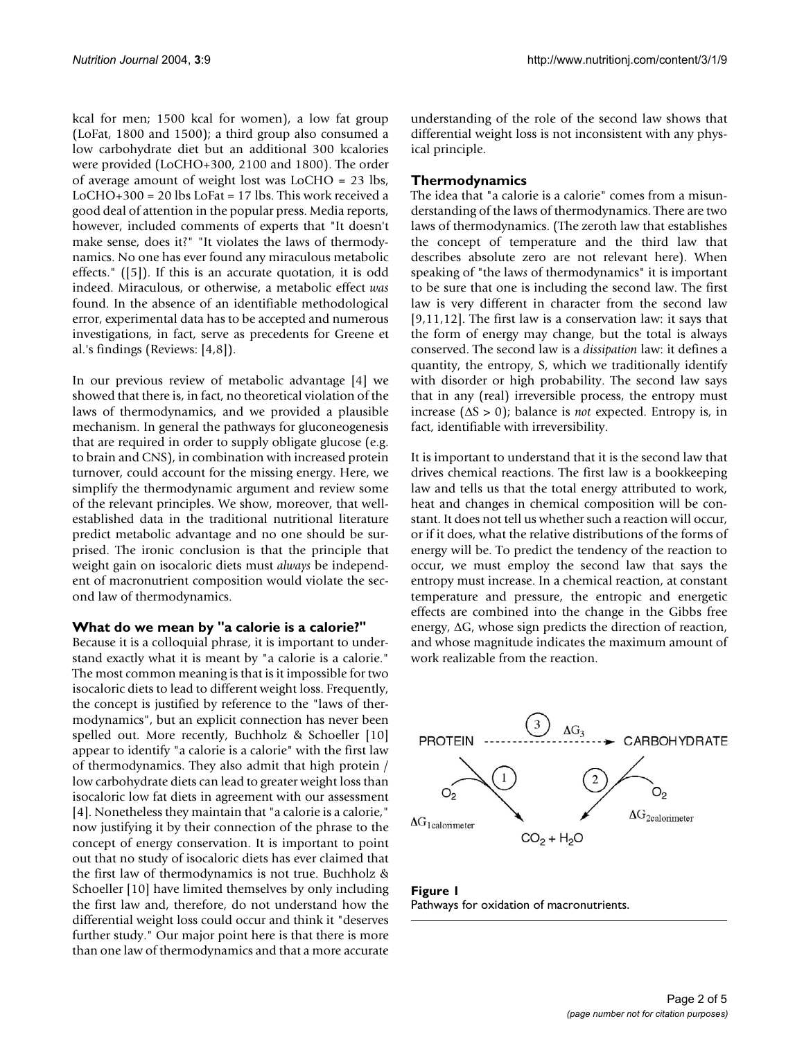kcal for men; 1500 kcal for women), a low fat group (LoFat, 1800 and 1500); a third group also consumed a low carbohydrate diet but an additional 300 kcalories were provided (LoCHO+300, 2100 and 1800). The order of average amount of weight lost was LoCHO = 23 lbs, LoCHO+300 = 20 lbs LoFat = 17 lbs. This work received a good deal of attention in the popular press. Media reports, however, included comments of experts that "It doesn't make sense, does it?" "It violates the laws of thermodynamics. No one has ever found any miraculous metabolic effects." ([5]). If this is an accurate quotation, it is odd indeed. Miraculous, or otherwise, a metabolic effect *was* found. In the absence of an identifiable methodological error, experimental data has to be accepted and numerous investigations, in fact, serve as precedents for Greene et al.'s findings (Reviews: [4,8]).

In our previous review of metabolic advantage [4] we showed that there is, in fact, no theoretical violation of the laws of thermodynamics, and we provided a plausible mechanism. In general the pathways for gluconeogenesis that are required in order to supply obligate glucose (e.g. to brain and CNS), in combination with increased protein turnover, could account for the missing energy. Here, we simplify the thermodynamic argument and review some of the relevant principles. We show, moreover, that wellestablished data in the traditional nutritional literature predict metabolic advantage and no one should be surprised. The ironic conclusion is that the principle that weight gain on isocaloric diets must *always* be independent of macronutrient composition would violate the second law of thermodynamics.

## What do we mean by "a calorie is a calorie?"

Because it is a colloquial phrase, it is important to understand exactly what it is meant by "a calorie is a calorie." The most common meaning is that is it impossible for two isocaloric diets to lead to different weight loss. Frequently, the concept is justified by reference to the "laws of thermodynamics", but an explicit connection has never been spelled out. More recently, Buchholz & Schoeller [10] appear to identify "a calorie is a calorie" with the first law of thermodynamics. They also admit that high protein / low carbohydrate diets can lead to greater weight loss than isocaloric low fat diets in agreement with our assessment [4]. Nonetheless they maintain that "a calorie is a calorie," now justifying it by their connection of the phrase to the concept of energy conservation. It is important to point out that no study of isocaloric diets has ever claimed that the first law of thermodynamics is not true. Buchholz & Schoeller [10] have limited themselves by only including the first law and, therefore, do not understand how the differential weight loss could occur and think it "deserves further study." Our major point here is that there is more than one law of thermodynamics and that a more accurate understanding of the role of the second law shows that differential weight loss is not inconsistent with any physical principle.

# **Thermodynamics**

The idea that "a calorie is a calorie" comes from a misunderstanding of the laws of thermodynamics. There are two laws of thermodynamics. (The zeroth law that establishes the concept of temperature and the third law that describes absolute zero are not relevant here). When speaking of "the law*s* of thermodynamics" it is important to be sure that one is including the second law. The first law is very different in character from the second law [9,11,12]. The first law is a conservation law: it says that the form of energy may change, but the total is always conserved. The second law is a *dissipation* law: it defines a quantity, the entropy, S, which we traditionally identify with disorder or high probability. The second law says that in any (real) irreversible process, the entropy must increase (∆S > 0); balance is *not* expected. Entropy is, in fact, identifiable with irreversibility.

It is important to understand that it is the second law that drives chemical reactions. The first law is a bookkeeping law and tells us that the total energy attributed to work, heat and changes in chemical composition will be constant. It does not tell us whether such a reaction will occur, or if it does, what the relative distributions of the forms of energy will be. To predict the tendency of the reaction to occur, we must employ the second law that says the entropy must increase. In a chemical reaction, at constant temperature and pressure, the entropic and energetic effects are combined into the change in the Gibbs free energy, ∆G, whose sign predicts the direction of reaction, and whose magnitude indicates the maximum amount of work realizable from the reaction.



**Figure 1** Pathways for oxidation of macronutrients.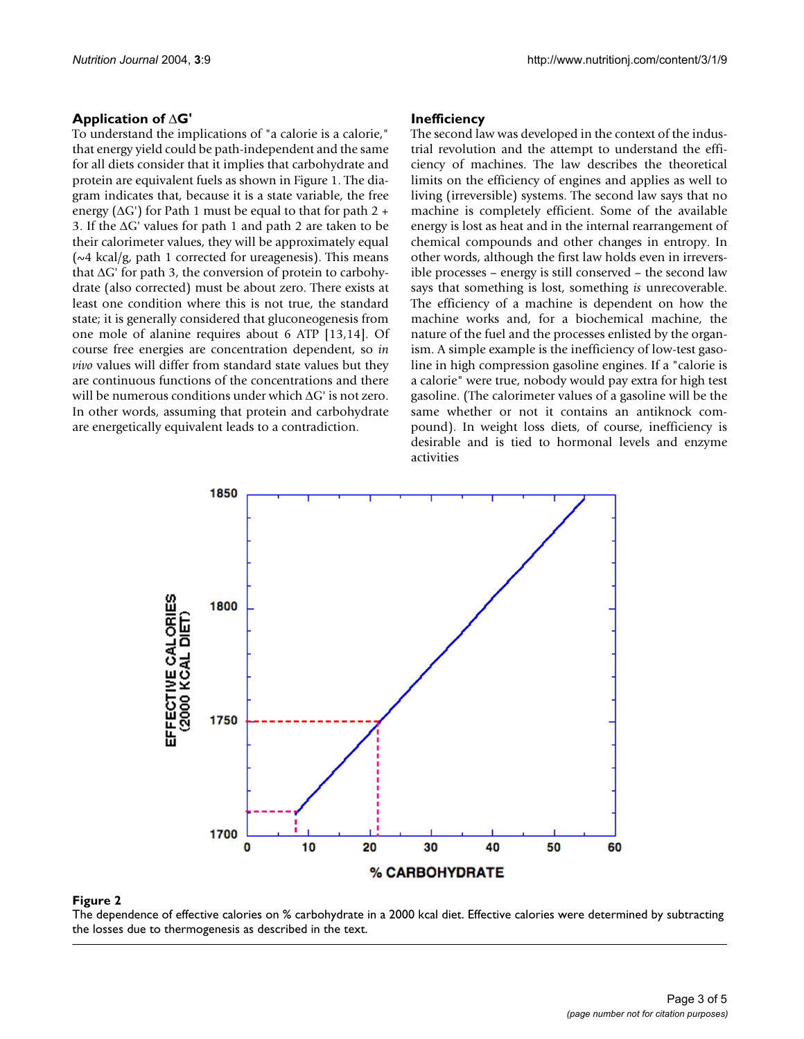## **Application of** ∆**G'**

To understand the implications of "a calorie is a calorie," that energy yield could be path-independent and the same for all diets consider that it implies that carbohydrate and protein are equivalent fuels as shown in Figure 1. The diagram indicates that, because it is a state variable, the free energy ( $\Delta G'$ ) for Path 1 must be equal to that for path 2 + 3. If the ∆G' values for path 1 and path 2 are taken to be their calorimeter values, they will be approximately equal  $(\sim 4 \text{ kcal/g}, \text{path 1 corrected for ureagenesis})$ . This means that ∆G' for path 3, the conversion of protein to carbohydrate (also corrected) must be about zero. There exists at least one condition where this is not true, the standard state; it is generally considered that gluconeogenesis from one mole of alanine requires about 6 ATP [13,14]. Of course free energies are concentration dependent, so *in vivo* values will differ from standard state values but they are continuous functions of the concentrations and there will be numerous conditions under which ∆G' is not zero. In other words, assuming that protein and carbohydrate are energetically equivalent leads to a contradiction.

#### **Inefficiency**

The second law was developed in the context of the industrial revolution and the attempt to understand the efficiency of machines. The law describes the theoretical limits on the efficiency of engines and applies as well to living (irreversible) systems. The second law says that no machine is completely efficient. Some of the available energy is lost as heat and in the internal rearrangement of chemical compounds and other changes in entropy. In other words, although the first law holds even in irreversible processes – energy is still conserved – the second law says that something is lost, something *is* unrecoverable. The efficiency of a machine is dependent on how the machine works and, for a biochemical machine, the nature of the fuel and the processes enlisted by the organism. A simple example is the inefficiency of low-test gasoline in high compression gasoline engines. If a "calorie is a calorie" were true, nobody would pay extra for high test gasoline. (The calorimeter values of a gasoline will be the same whether or not it contains an antiknock compound). In weight loss diets, of course, inefficiency is desirable and is tied to hormonal levels and enzyme activities



#### Figure 2

The dependence of effective calories on % carbohydrate in a 2000 kcal diet. Effective calories were determined by subtracting the losses due to thermogenesis as described in the text.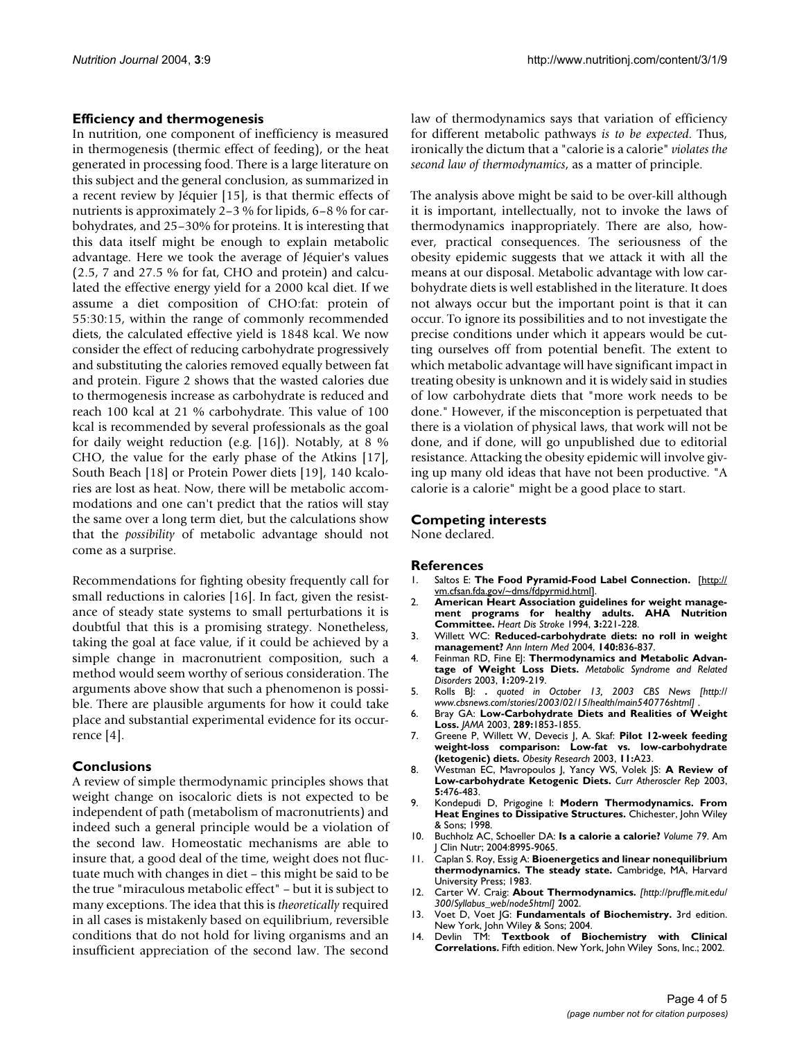## **Efficiency and thermogenesis**

In nutrition, one component of inefficiency is measured in thermogenesis (thermic effect of feeding), or the heat generated in processing food. There is a large literature on this subject and the general conclusion, as summarized in a recent review by Jéquier [15], is that thermic effects of nutrients is approximately 2–3 % for lipids, 6–8 % for carbohydrates, and 25–30% for proteins. It is interesting that this data itself might be enough to explain metabolic advantage. Here we took the average of Jéquier's values (2.5, 7 and 27.5 % for fat, CHO and protein) and calculated the effective energy yield for a 2000 kcal diet. If we assume a diet composition of CHO:fat: protein of 55:30:15, within the range of commonly recommended diets, the calculated effective yield is 1848 kcal. We now consider the effect of reducing carbohydrate progressively and substituting the calories removed equally between fat and protein. Figure 2 shows that the wasted calories due to thermogenesis increase as carbohydrate is reduced and reach 100 kcal at 21 % carbohydrate. This value of 100 kcal is recommended by several professionals as the goal for daily weight reduction (e.g. [16]). Notably, at 8 % CHO, the value for the early phase of the Atkins [17], South Beach [18] or Protein Power diets [19], 140 kcalories are lost as heat. Now, there will be metabolic accommodations and one can't predict that the ratios will stay the same over a long term diet, but the calculations show that the *possibility* of metabolic advantage should not come as a surprise.

Recommendations for fighting obesity frequently call for small reductions in calories [16]. In fact, given the resistance of steady state systems to small perturbations it is doubtful that this is a promising strategy. Nonetheless, taking the goal at face value, if it could be achieved by a simple change in macronutrient composition, such a method would seem worthy of serious consideration. The arguments above show that such a phenomenon is possible. There are plausible arguments for how it could take place and substantial experimental evidence for its occurrence [4].

## **Conclusions**

A review of simple thermodynamic principles shows that weight change on isocaloric diets is not expected to be independent of path (metabolism of macronutrients) and indeed such a general principle would be a violation of the second law. Homeostatic mechanisms are able to insure that, a good deal of the time, weight does not fluctuate much with changes in diet – this might be said to be the true "miraculous metabolic effect" – but it is subject to many exceptions. The idea that this is *theoretically* required in all cases is mistakenly based on equilibrium, reversible conditions that do not hold for living organisms and an insufficient appreciation of the second law. The second

law of thermodynamics says that variation of efficiency for different metabolic pathways *is to be expected*. Thus, ironically the dictum that a "calorie is a calorie" *violates the second law of thermodynamics*, as a matter of principle.

The analysis above might be said to be over-kill although it is important, intellectually, not to invoke the laws of thermodynamics inappropriately. There are also, however, practical consequences. The seriousness of the obesity epidemic suggests that we attack it with all the means at our disposal. Metabolic advantage with low carbohydrate diets is well established in the literature. It does not always occur but the important point is that it can occur. To ignore its possibilities and to not investigate the precise conditions under which it appears would be cutting ourselves off from potential benefit. The extent to which metabolic advantage will have significant impact in treating obesity is unknown and it is widely said in studies of low carbohydrate diets that "more work needs to be done." However, if the misconception is perpetuated that there is a violation of physical laws, that work will not be done, and if done, will go unpublished due to editorial resistance. Attacking the obesity epidemic will involve giving up many old ideas that have not been productive. "A calorie is a calorie" might be a good place to start.

# **Competing interests**

None declared.

#### **References**

- 1. Saltos E: **The Food Pyramid-Food Label Connection.** [\[http://](http://vm.cfsan.fda.gov/~dms/fdpyrmid.html) [vm.cfsan.fda.gov/~dms/fdpyrmid.html](http://vm.cfsan.fda.gov/~dms/fdpyrmid.html)].
- <span id="page-3-0"></span>2. **[American Heart Association guidelines for weight manage](http://www.ncbi.nlm.nih.gov/entrez/query.fcgi?cmd=Retrieve&db=PubMed&dopt=Abstract&list_uids=7921668)**ment programs for healthy adults. **[Committee.](http://www.ncbi.nlm.nih.gov/entrez/query.fcgi?cmd=Retrieve&db=PubMed&dopt=Abstract&list_uids=7921668)** *Heart Dis Stroke* 1994, **3:**221-228.
- 3. Willett WC: **[Reduced-carbohydrate diets: no roll in weight](http://www.ncbi.nlm.nih.gov/entrez/query.fcgi?cmd=Retrieve&db=PubMed&dopt=Abstract&list_uids=15148073) [management?](http://www.ncbi.nlm.nih.gov/entrez/query.fcgi?cmd=Retrieve&db=PubMed&dopt=Abstract&list_uids=15148073)** *Ann Intern Med* 2004, **140:**836-837.
- 4. Feinman RD, Fine E|: [Thermodynamics and Metabolic Advan](http://www.ncbi.nlm.nih.gov/entrez/query.fcgi?cmd=Retrieve&db=PubMed&dopt=Abstract&list_uids=10.1089/154041903322716688)**[tage of Weight Loss Diets.](http://www.ncbi.nlm.nih.gov/entrez/query.fcgi?cmd=Retrieve&db=PubMed&dopt=Abstract&list_uids=10.1089/154041903322716688)** *Metabolic Syndrome and Related Disorders* 2003, **1:**209-219.
- 5. Rolls BJ: **.** *quoted in October 13, 2003 CBS News [http:// www.cbsnews.com/stories/2003/02/15/health/main540776shtml]* .
- 6. Bray GA: **[Low-Carbohydrate Diets and Realities of Weight](http://www.ncbi.nlm.nih.gov/entrez/query.fcgi?cmd=Retrieve&db=PubMed&dopt=Abstract&list_uids=10.1001/jama.289.14.1853) [Loss](http://www.ncbi.nlm.nih.gov/entrez/query.fcgi?cmd=Retrieve&db=PubMed&dopt=Abstract&list_uids=10.1001/jama.289.14.1853)[.](http://www.ncbi.nlm.nih.gov/entrez/query.fcgi?cmd=Retrieve&db=PubMed&dopt=Abstract&list_uids=12684366)** *JAMA* 2003, **289:**1853-1855.
- 7. Greene P, Willett W, Devecis J, A. Skaf: **Pilot 12-week feeding weight-loss comparison: Low-fat vs. low-carbohydrate (ketogenic) diets.** *Obesity Research* 2003, **11:**A23.
- 8. Westman EC, Mavropoulos J, Yancy WS, Volek JS: **[A Review of](http://www.ncbi.nlm.nih.gov/entrez/query.fcgi?cmd=Retrieve&db=PubMed&dopt=Abstract&list_uids=14525681) [Low-carbohydrate Ketogenic Diets.](http://www.ncbi.nlm.nih.gov/entrez/query.fcgi?cmd=Retrieve&db=PubMed&dopt=Abstract&list_uids=14525681)** *Curr Atheroscler Rep* 2003, **5:**476-483.
- 9. Kondepudi D, Prigogine I: **Modern Thermodynamics. From Heat Engines to Dissipative Structures.** Chichester, John Wiley & Sons; 1998.
- 10. Buchholz AC, Schoeller DA: **Is a calorie a calorie?** *Volume 79*. Am J Clin Nutr; 2004:8995-9065.
- 11. Caplan S. Roy, Essig A: **Bioenergetics and linear nonequilibrium thermodynamics. The steady state.** Cambridge, MA, Harvard University Press; 1983.
- 12. Carter W. Craig: **About Thermodynamics.** *[http://pruffle.mit.edu/ 300/Syllabus\_web/node5html]* 2002.
- 13. Voet D, Voet JG: **Fundamentals of Biochemistry.** 3rd edition. New York, John Wiley & Sons; 2004.
- 14. Devlin TM: **Textbook of Biochemistry with Clinical Correlations.** Fifth edition. New York, John Wiley Sons, Inc.; 2002.